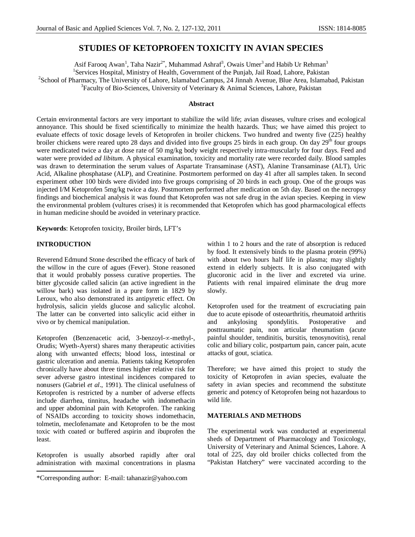# **STUDIES OF KETOPROFEN TOXICITY IN AVIAN SPECIES**

Asif Farooq Awan<sup>1</sup>, Taha Nazir<sup>2\*</sup>, Muhammad Ashraf<sup>3</sup>, Owais Umer<sup>3</sup> and Habib Ur Rehman<sup>3</sup> <sup>1</sup>Services Hospital, Ministry of Health, Government of the Punjab, Jail Road, Lahore, Pakistan <sup>2</sup>School of Pharmacy, The University of Lahore, Islamabad Campus, 24 Jinnah Avenue, Blue Area, Islamabad, Pakistan <sup>3</sup>Faculty of Bio-Sciences, University of Veterinary & Animal Sciences, Lahore, Pakistan

# **Abstract**

Certain environmental factors are very important to stabilize the wild life; avian diseases, vulture crises and ecological annoyance. This should be fixed scientifically to minimize the health hazards. Thus; we have aimed this project to evaluate effects of toxic dosage levels of Ketoprofen in broiler chickens. Two hundred and twenty five (225) healthy broiler chickens were reared upto 28 days and divided into five groups 25 birds in each group. On day  $29<sup>th</sup>$  four groups were medicated twice a day at dose rate of 50 mg/kg body weight respectively intra-muscularly for four days. Feed and water were provided *ad libitum*. A physical examination, toxicity and mortality rate were recorded daily. Blood samples was drawn to determination the serum values of Aspartate Transaminase (AST), Alanine Transaminase (ALT), Uric Acid, Alkaline phosphatase (ALP), and Creatinine. Postmortem performed on day 41 after all samples taken. In second experiment other 100 birds were divided into five groups comprising of 20 birds in each group. One of the groups was injected I/M Ketoprofen 5mg/kg twice a day. Postmortem performed after medication on 5th day. Based on the necropsy findings and biochemical analysis it was found that Ketoprofen was not safe drug in the avian species. Keeping in view the environmental problem (vultures crises) it is recommended that Ketoprofen which has good pharmacological effects in human medicine should be avoided in veterinary practice.

**Keywords**: Ketoprofen toxicity, Broiler birds, LFT's

# **INTRODUCTION**

Reverend Edmund Stone described the efficacy of bark of the willow in the cure of agues (Fever). Stone reasoned that it would probably possess curative properties. The bitter glycoside called salicin (an active ingredient in the willow bark) was isolated in a pure form in 1829 by Leroux, who also demonstrated its antipyretic effect. On hydrolysis, salicin yields glucose and salicylic alcohol. The latter can be converted into salicylic acid either in vivo or by chemical manipulation.

Ketoprofen (Benzenacetic acid, 3-benzoyl- $\infty$ -methyl-, Orudis; Wyeth-Ayerst) shares many therapeutic activities along with unwanted effects; blood loss, intestinal or gastric ulceration and anemia. Patients taking Ketoprofen chronically have about three times higher relative risk for sever adverse gastro intestinal incidences compared to nonusers (Gabriel *et al*., 1991). The clinical usefulness of Ketoprofen is restricted by a number of adverse effects include diarrhea, tinnitus, headache with indomethacin and upper abdominal pain with Ketoprofen. The ranking of NSAIDs according to toxicity shows indomethacin, tolmetin, meclofenamate and Ketoprofen to be the most toxic with coated or buffered aspirin and ibuprofen the least.

Ketoprofen is usually absorbed rapidly after oral administration with maximal concentrations in plasma within 1 to 2 hours and the rate of absorption is reduced by food. It extensively binds to the plasma protein (99%) with about two hours half life in plasma; may slightly extend in elderly subjects. It is also conjugated with glucoronic acid in the liver and excreted via urine. Patients with renal impaired eliminate the drug more slowly.

Ketoprofen used for the treatment of excruciating pain due to acute episode of osteoarthritis, rheumatoid arthritis and ankylosing spondylitis. Postoperative and posttraumatic pain, non articular rheumatism (acute painful shoulder, tendinitis, bursitis, tenosynovitis), renal colic and biliary colic, postpartum pain, cancer pain, acute attacks of gout, sciatica.

Therefore; we have aimed this project to study the toxicity of Ketoprofen in avian species, evaluate the safety in avian species and recommend the substitute generic and potency of Ketoprofen being not hazardous to wild life.

# **MATERIALS AND METHODS**

The experimental work was conducted at experimental sheds of Department of Pharmacology and Toxicology, University of Veterinary and Animal Sciences, Lahore. A total of 225, day old broiler chicks collected from the "Pakistan Hatchery" were vaccinated according to the

<sup>\*</sup>Corresponding author: E-mail: tahanazir@yahoo.com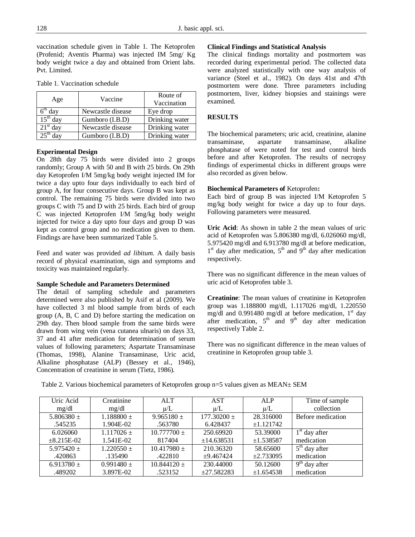vaccination schedule given in Table 1. The Ketoprofen (Profenid; Aventis Pharma) was injected IM 5mg/ Kg body weight twice a day and obtained from Orient labs. Pvt. Limited.

| Age        | Vaccine           | Route of<br>Vaccination |
|------------|-------------------|-------------------------|
| $6th$ day  | Newcastle disease | Eye drop                |
| $15th$ day | Gumboro (I.B.D)   | Drinking water          |
| $21st$ day | Newcastle disease | Drinking water          |
| າ<⊄th      | Gumboro (I.B.D)   | Drinking water          |

Table 1. Vaccination schedule

# **Experimental Design**

On 28th day 75 birds were divided into 2 groups randomly; Group A with 50 and B with 25 birds. On 29th day Ketoprofen I/M 5mg/kg body weight injected IM for twice a day upto four days individually to each bird of group A, for four consecutive days. Group B was kept as control. The remaining 75 birds were divided into two groups C with 75 and D with 25 birds. Each bird of group C was injected Ketoprofen I/M 5mg/kg body weight injected for twice a day upto four days and group D was kept as control group and no medication given to them. Findings are have been summarized Table 5.

Feed and water was provided *ad libitum*. A daily basis record of physical examination, sign and symptoms and toxicity was maintained regularly.

### **Sample Schedule and Parameters Determined**

The detail of sampling schedule and parameters determined were also published by Asif et al (2009). We have collected 3 ml blood sample from birds of each group (A, B, C and D) before starting the medication on 29th day. Then blood sample from the same birds were drawn from wing vein (vena cutanea ulnaris) on days 33, 37 and 41 after medication for determination of serum values of following parameters; Aspartate Transaminase (Thomas, 1998), Alanine Transaminase, Uric acid, Alkaline phosphatase (ALP) (Bessey et al., 1946), Concentration of creatinine in serum (Tietz, 1986).

### **Clinical Findings and Statistical Analysis**

The clinical findings mortality and postmortem was recorded during experimental period. The collected data were analyzed statistically with one way analysis of variance (Steel et al., 1982). On days 41st and 47th postmortem were done. Three parameters including postmortem, liver, kidney biopsies and stainings were examined.

# **RESULTS**

The biochemical parameters; uric acid, creatinine, alanine transaminase, aspartate transaminase, alkaline phosphatase of were noted for test and control birds before and after Ketoprofen. The results of necropsy findings of experimental chicks in different groups were also recorded as given below.

### **Biochemical Parameters of** Ketoprofen**:**

Each bird of group B was injected I/M Ketoprofen 5 mg/kg body weight for twice a day up to four days. Following parameters were measured.

**Uric Acid**: As shown in table 2 the mean values of uric acid of Ketoprofen was 5.806380 mg/dl, 6.026060 mg/dl, 5.975420 mg/dl and 6.913780 mg/dl at before medication, 1<sup>st</sup> day after medication, 5<sup>th</sup> and 9<sup>th</sup> day after medication respectively.

There was no significant difference in the mean values of uric acid of Ketoprofen table 3.

**Creatinine**: The mean values of creatinine in Ketoprofen group was 1.188800 mg/dl, 1.117026 mg/dl, 1.220550 mg/dl and 0.991480 mg/dl at before medication,  $1<sup>st</sup>$  day after medication,  $5<sup>th</sup>$  and  $9<sup>th</sup>$  day after medication respectively Table 2.

There was no significant difference in the mean values of creatinine in Ketoprofen group table 3.

| Uric Acid         | Creatinine     | <b>ALT</b>      | <b>AST</b>      | <b>ALP</b>     | Time of sample    |
|-------------------|----------------|-----------------|-----------------|----------------|-------------------|
| mg/dl             | mg/dl          | $\mu/L$         | $\mu/L$         | $\mu/L$        | collection        |
| 5.806380 $\pm$    | $1.188800 \pm$ | $9.965180 \pm$  | $177.30200 \pm$ | 28.316000      | Before medication |
| .545235           | 1.904E-02      | .563780         | 6.428437        | ±1.121742      |                   |
| 6.026060          | $1.117026 \pm$ | $10.777700 \pm$ | 250.69920       | 53.39000       | $1st$ day after   |
| $\pm 8.215E - 02$ | 1.541E-02      | 817404          | ±14.638531      | ±1.538587      | medication        |
| $5.975420 \pm$    | $1.220550 \pm$ | $10.417980 \pm$ | 210.36320       | 58.65600       | $5th$ day after   |
| .420863           | .135490        | .422810         | $\pm 9.467424$  | $\pm 2.733095$ | medication        |
| $6.913780 \pm$    | $0.991480 \pm$ | $10.844120 \pm$ | 230.44000       | 50.12600       | $9th$ day after   |
| .489202           | 3.897E-02      | .523152         | ±27.582283      | ±1.654538      | medication        |

Table 2. Various biochemical parameters of Ketoprofen group  $n=5$  values given as MEAN $\pm$  SEM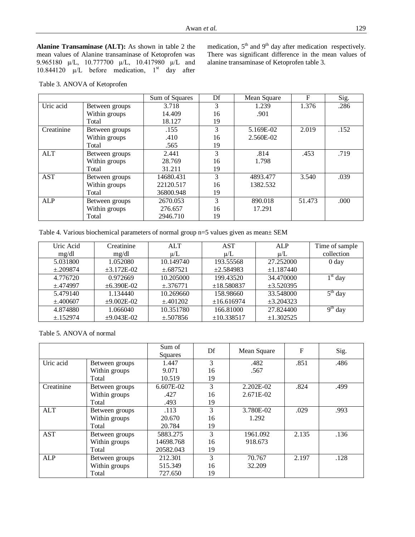**Alanine Transaminase (ALT):** As shown in table 2 the mean values of Alanine transaminase of Ketoprofen was 9.965180 µ/L, 10.777700 µ/L, 10.417980 µ/L and 10.844120  $\mu$ /L before medication, 1<sup>st</sup> day after

medication,  $5<sup>th</sup>$  and  $9<sup>th</sup>$  day after medication respectively. There was significant difference in the mean values of alanine transaminase of Ketoprofen table 3.

Table 3. ANOVA of Ketoprofen

|            |                | Sum of Squares | Df | Mean Square | $\mathbf{F}$ | Sig. |
|------------|----------------|----------------|----|-------------|--------------|------|
| Uric acid  | Between groups | 3.718          | 3  | 1.239       | 1.376        | .286 |
|            | Within groups  | 14.409         | 16 | .901        |              |      |
|            | Total          | 18.127         | 19 |             |              |      |
| Creatinine | Between groups | .155           | 3  | 5.169E-02   | 2.019        | .152 |
|            | Within groups  | .410           | 16 | 2.560E-02   |              |      |
|            | Total          | .565           | 19 |             |              |      |
| <b>ALT</b> | Between groups | 2.441          | 3  | .814        | .453         | .719 |
|            | Within groups  | 28.769         | 16 | 1.798       |              |      |
|            | Total          | 31.211         | 19 |             |              |      |
| <b>AST</b> | Between groups | 14680.431      | 3  | 4893.477    | 3.540        | .039 |
|            | Within groups  | 22120.517      | 16 | 1382.532    |              |      |
|            | Total          | 36800.948      | 19 |             |              |      |
| <b>ALP</b> | Between groups | 2670.053       | 3  | 890.018     | 51.473       | .000 |
|            | Within groups  | 276.657        | 16 | 17.291      |              |      |
|            | Total          | 2946.710       | 19 |             |              |      |

| Uric Acid     | Creatinine        | <b>ALT</b>    | <b>AST</b>     | <b>ALP</b>     | Time of sample   |
|---------------|-------------------|---------------|----------------|----------------|------------------|
| mg/dl         | mg/dl             | $\mu/L$       | $\mu/L$        | $\mu/L$        | collection       |
| 5.031800      | 1.052080          | 10.149740     | 193.55568      | 27.252000      | 0 <sub>day</sub> |
| $\pm$ .209874 | $\pm 3.172E - 02$ | $\pm .687521$ | $\pm 2.584983$ | ±1.187440      |                  |
| 4.776720      | 0.972669          | 10.205000     | 199.43520      | 34.470000      | $1st$ day        |
| $\pm$ .474997 | $\pm 6.390E - 02$ | $\pm .376771$ | ±18.580837     | $\pm 3.520395$ |                  |
| 5.479140      | 1.134440          | 10.269660     | 158.98660      | 33.548000      | $5th$ day        |
| $\pm 400607$  | $±9.002E-02$      | $\pm .401202$ | ±16.616974     | $\pm 3.204323$ |                  |
| 4.874880      | 1.066040          | 10.351780     | 166.81000      | 27.824400      | $9th$ day        |
| $\pm$ .152974 | $±9.043E-02$      | $\pm .507856$ | ±10.338517     | ±1.302525      |                  |

Table 5. ANOVA of normal

|            |                | Sum of<br><b>Squares</b> | Df | Mean Square | $\mathbf{F}$ | Sig. |
|------------|----------------|--------------------------|----|-------------|--------------|------|
| Uric acid  | Between groups | 1.447                    | 3  | .482        | .851         | .486 |
|            | Within groups  | 9.071                    | 16 | .567        |              |      |
|            | Total          | 10.519                   | 19 |             |              |      |
| Creatinine | Between groups | $6.607E-02$              | 3  | 2.202E-02   | .824         | .499 |
|            | Within groups  | .427                     | 16 | 2.671E-02   |              |      |
|            | Total          | .493                     | 19 |             |              |      |
| ALT        | Between groups | .113                     | 3  | 3.780E-02   | .029         | .993 |
|            | Within groups  | 20.670                   | 16 | 1.292       |              |      |
|            | Total          | 20.784                   | 19 |             |              |      |
| <b>AST</b> | Between groups | 5883.275                 | 3  | 1961.092    | 2.135        | .136 |
|            | Within groups  | 14698.768                | 16 | 918.673     |              |      |
|            | Total          | 20582.043                | 19 |             |              |      |
| ALP        | Between groups | 212.301                  | 3  | 70.767      | 2.197        | .128 |
|            | Within groups  | 515.349                  | 16 | 32.209      |              |      |
|            | Total          | 727.650                  | 19 |             |              |      |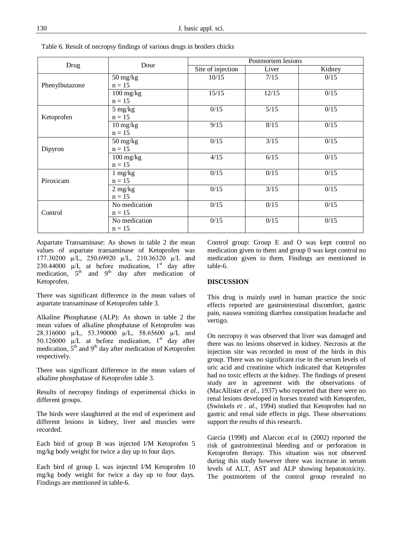|                | Dose                              | Postmortem lesions |       |        |  |
|----------------|-----------------------------------|--------------------|-------|--------|--|
| Drug           |                                   | Site of injection  | Liver | Kidney |  |
|                | $50 \frac{\text{mg}}{\text{kg}}$  | 10/15              | 7/15  | 0/15   |  |
| Phenylbutazone | $n = 15$                          |                    |       |        |  |
|                | $100$ mg/kg                       | 15/15              | 12/15 | 0/15   |  |
|                | $n = 15$                          |                    |       |        |  |
|                | $5 \text{ mg/kg}$                 | 0/15               | 5/15  | 0/15   |  |
| Ketoprofen     | $n = 15$                          |                    |       |        |  |
|                | $10 \frac{\text{mg}}{\text{kg}}$  | 9/15               | 8/15  | 0/15   |  |
|                | $n = 15$                          |                    |       |        |  |
|                | $50 \frac{\text{mg}}{\text{kg}}$  | 0/15               | 3/15  | 0/15   |  |
| Dipyron        | $n = 15$                          |                    |       |        |  |
|                | $100 \frac{\text{mg}}{\text{kg}}$ | 4/15               | 6/15  | 0/15   |  |
|                | $n = 15$                          |                    |       |        |  |
|                | $1 \text{ mg/kg}$                 | 0/15               | 0/15  | 0/15   |  |
| Piroxicam      | $n = 15$                          |                    |       |        |  |
|                | $2 \text{ mg/kg}$                 | 0/15               | 3/15  | 0/15   |  |
|                | $n = 15$                          |                    |       |        |  |
|                | No medication                     | 0/15               | 0/15  | 0/15   |  |
| Control        | $n = 15$                          |                    |       |        |  |
|                | No medication                     | 0/15               | 0/15  | 0/15   |  |
|                | $n = 15$                          |                    |       |        |  |

Table 6. Result of necropsy findings of various drugs in broilers chicks

Aspartate Transaminase: As shown in table 2 the mean values of aspartate transaminase of Ketoprofen was 177.30200 µ/L, 250.69920 µ/L, 210.36320 µ/L and 230.44000  $\mu$ /L at before medication, 1<sup>st</sup> day after medication,  $5<sup>th</sup>$  and  $9<sup>th</sup>$  day after medication of Ketoprofen.

There was significant difference in the mean values of aspartate transaminase of Ketoprofen table 3.

Alkaline Phosphatase (ALP): As shown in table 2 the mean values of alkaline phosphatase of Ketoprofen was 28.316000 µ/L, 53.390000 µ/L, 58.65600 µ/L and 50.126000  $\mu$ /L at before medication, 1<sup>st</sup> day after medication,  $5<sup>th</sup>$  and  $9<sup>th</sup>$  day after medication of Ketoprofen respectively.

There was significant difference in the mean values of alkaline phosphatase of Ketoprofen table 3.

Results of necropsy findings of experimental chicks in different groups.

The birds were slaughtered at the end of experiment and different lesions in kidney, liver and muscles were recorded.

Each bird of group B was injected I/M Ketoprofen 5 mg/kg body weight for twice a day up to four days.

Each bird of group L was injected I/M Ketoprofen 10 mg/kg body weight for twice a day up to four days. Findings are mentioned in table-6.

Control group: Group E and O was kept control no medication given to them and group 0 was kept control no medication given to them. Findings are mentioned in table-6.

#### **DISCUSSION**

This drug is mainly used in human practice the toxic effects reported are gastrointestinal discomfort, gastric pain, nausea vomiting diarrhea constipation headache and vertigo.

On necropsy it was observed that liver was damaged and there was no lesions observed in kidney. Necrosis at the injection site was recorded in most of the birds in this group. There was no significant rise in the serum levels of uric acid and creatinine which indicated that Ketoprofen had no toxic effects at the kidney. The findings of present study are in agreement with the observations of (MacAllister *et al.,* 1937) who reported that there were no renal lesions developed in horses treated with Ketoprofen, (Swinkels *et . al.,* 1994) studied that Ketoprofen had no gastric and renal side effects in pigs. These observations support the results of this research.

Garcia (1998) and Alarcon *et.al* in (2002) reported the risk of gastrointestinal bleeding and or perforation in Ketoprofen therapy. This situation was not observed during this study however there was increase in serum levels of ALT, AST and ALP showing hepatotoxicity. The postmortem of the control group revealed no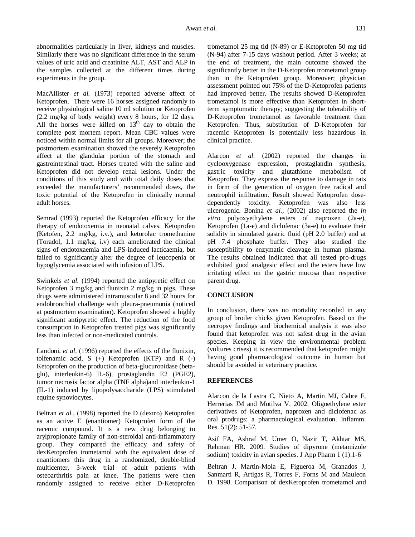abnormalities particularly in liver, kidneys and muscles. Similarly there was no significant difference in the serum values of uric acid and creatinine ALT, AST and ALP in the samples collected at the different times during experiments in the group.

MacAllister *et al.* (1973) reported adverse affect of Ketoprofen. There were 16 horses assigned randomly to receive physiological saline 10 ml solution or Ketoprofen (2.2 mg/kg of body weight) every 8 hours, for 12 days. All the horses were killed on  $13<sup>th</sup>$  day to obtain the complete post mortem report. Mean CBC values were noticed within normal limits for all groups. Moreover; the postmortem examination showed the severely Ketoprofen affect at the glandular portion of the stomach and gastrointestinal tract. Horses treated with the saline and Ketoprofen did not develop renal lesions. Under the conditions of this study and with total daily doses that exceeded the manufacturers' recommended doses, the toxic potential of the Ketoprofen in clinically normal adult horses.

Semrad (1993) reported the Ketoprofen efficacy for the therapy of endotoxemia in neonatal calves. Ketoprofen (Ketofen, 2.2 mg/kg, i.v.), and ketorolac tromethanine (Toradol, 1.1 mg/kg, i.v) each ameliorated the clinical signs of endotoxaemia and LPS-induced lacticaemia, but failed to significantly alter the degree of leucopenia or hypoglycemia associated with infusion of LPS.

Swinkels *et al*. (1994) reported the antipyretic effect on Ketoprofen 3 mg/kg and flunixin 2 mg/kg in pigs. These drugs were administered intramuscular 8 and 32 hours for endobronchial challenge with pleura-pneumonia (noticed at postmortem examination). Ketoprofen showed a highly significant antipyretic effect. The reduction of the food consumption in Ketoprofen treated pigs was significantly less than infected or non-medicated controls.

Landoni, *et al.* (1996) reported the effects of the flunixin, tolfenamic acid,  $S$  (+) Ketoprofen (KTP) and R (-) Ketoprofen on the production of beta-glucuronidase (betaglu), interleukin-6) IL-6), prostaglandin E2 (PGE2), tumor necrosis factor alpha (TNF alpha)and interleukin-1 (IL-1) induced by lipopolysaccharide (LPS) stimulated equine synoviocytes.

Beltran *et al.,* (1998) reported the D (dextro) Ketoprofen as an active E (enantiomer) Ketoprofen form of the racemic compound. It is a new drug belonging to arylpropionate family of non-steroidal anti-inflammatory group. They compared the efficacy and safety of dexKetoprofen trometamol with the equivalent dose of enantiomers this drug in a randomized, double-blind multicenter, 3-week trial of adult patients with osteoarthritis pain at knee. The patients were then randomly assigned to receive either D-Ketoprofen trometamol 25 mg tid (N-89) or E-Ketoprofen 50 mg tid (N-94) after 7-15 days washout period. After 3 weeks; at the end of treatment, the main outcome showed the significantly better in the D-Ketoprofen trometamol group than in the Ketoprofen group. Moreover; physician assessment pointed out 75% of the D-Ketoprofen patients had improved better. The results showed D-Ketoprofen trometamol is more effective than Ketoprofen in shortterm symptomatic therapy; suggesting the tolerability of D-Ketoprofen trometamol as favorable treatment than Ketoprofen. Thus, substitution of D-Ketoprofen for racemic Ketoprofen is potentially less hazardous in clinical practice.

Alarcon *et al.* (2002) reported the changes in cyclooxygenase expression, prostaglandin synthesis, gastric toxicity and glutathione metabolism of Ketoprofen. They express the response to damage in rats in form of the generation of oxygen free radical and neutrophil infiltration. Result showed Ketoprofen dosedependently toxicity. Ketoprofen was also less ulcerogenic. Bonina *et al.,* (2002) also reported the *in vitro* polyoxyethylene esters of naproxen (2a-e), Ketoprofen (1a-e) and diclofenac (3a-e) to evaluate their solidity in simulated gastric fluid (pH 2.0 buffer) and at pH 7.4 phosphate buffer. They also studied the susceptibility to enzymatic cleavage in human plasma. The results obtained indicated that all tested pro-drugs exhibited good analgesic effect and the esters have low irritating effect on the gastric mucosa than respective parent drug.

### **CONCLUSION**

In conclusion, there was no mortality recorded in any group of broiler chicks given Ketoprofen. Based on the necropsy findings and biochemical analysis it was also found that ketoprofen was not safest drug in the avian species. Keeping in view the environmental problem (vultures crises) it is recommended that ketoprofen might having good pharmacological outcome in human but should be avoided in veterinary practice.

# **REFERENCES**

Alarcon de la Lastra C, Nieto A, Martin MJ, Cabre F, Herrerias JM and Motilva V. 2002. Oligoethylene ester derivatives of Ketoprofen, naproxen and diclofenac as oral prodrugs: a pharmacological evaluation. Inflamm. Res. 51(2): 51-57.

Asif FA, Ashraf M, Umer O, Nazir T, Akhtar MS, Rehman HR. 2009. Studies of dipyrone (metamizole sodium) toxicity in avian species. J App Pharm 1 (1):1-6

Beltran J, Martin-Mola E, Figueroa M, Granados J, Sanmarti R, Artigas R, Torres F, Forns M and Mauleon D. 1998. Comparison of dexKetoprofen trometamol and